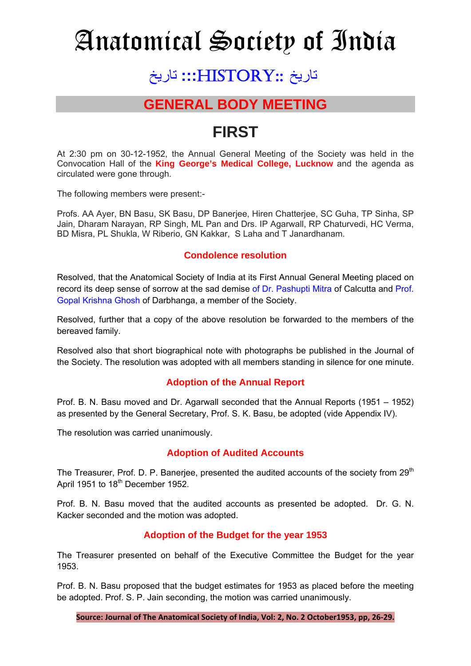# Anatomical Society of India

## تاريخ ::HISTORY**:::** تاريخ

### **GENERAL BODY MEETING**

## **FIRST**

At 2:30 pm on 30-12-1952, the Annual General Meeting of the Society was held in the Convocation Hall of the **King George's Medical College, Lucknow** and the agenda as circulated were gone through.

The following members were present:-

Profs. AA Ayer, BN Basu, SK Basu, DP Banerjee, Hiren Chatterjee, SC Guha, TP Sinha, SP Jain, Dharam Narayan, RP Singh, ML Pan and Drs. IP Agarwall, RP Chaturvedi, HC Verma, BD Misra, PL Shukla, W Riberio, GN Kakkar, S Laha and T Janardhanam.

#### **Condolence resolution**

Resolved, that the Anatomical Society of India at its First Annual General Meeting placed on record its deep sense of sorrow at the sad demise of Dr. Pashupti Mitra of Calcutta and Prof. Gopal Krishna Ghosh of Darbhanga, a member of the Society.

Resolved, further that a copy of the above resolution be forwarded to the members of the bereaved family.

Resolved also that short biographical note with photographs be published in the Journal of the Society. The resolution was adopted with all members standing in silence for one minute.

#### **Adoption of the Annual Report**

Prof. B. N. Basu moved and Dr. Agarwall seconded that the Annual Reports (1951 – 1952) as presented by the General Secretary, Prof. S. K. Basu, be adopted (vide Appendix IV).

The resolution was carried unanimously.

#### **Adoption of Audited Accounts**

The Treasurer, Prof. D. P. Baneriee, presented the audited accounts of the society from  $29<sup>th</sup>$ April 1951 to 18<sup>th</sup> December 1952.

Prof. B. N. Basu moved that the audited accounts as presented be adopted. Dr. G. N. Kacker seconded and the motion was adopted.

#### **Adoption of the Budget for the year 1953**

The Treasurer presented on behalf of the Executive Committee the Budget for the year 1953.

Prof. B. N. Basu proposed that the budget estimates for 1953 as placed before the meeting be adopted. Prof. S. P. Jain seconding, the motion was carried unanimously.

**Source: Journal of The Anatomical Society of India, Vol: 2, No. 2 October1953, pp, 26-29.**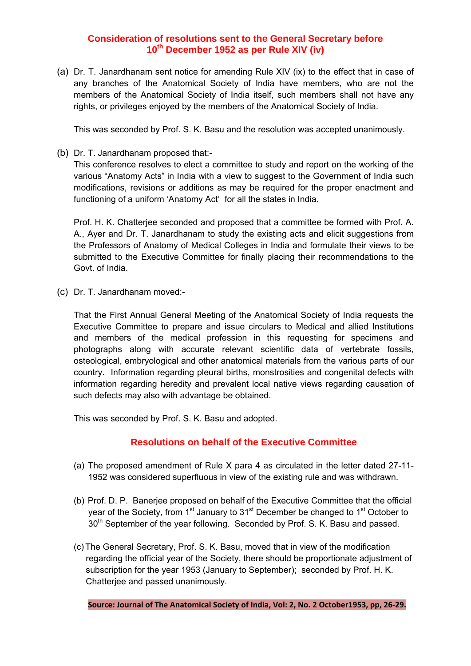#### **Consideration of resolutions sent to the General Secretary before 10th December 1952 as per Rule XIV (iv)**

(a) Dr. T. Janardhanam sent notice for amending Rule XIV (ix) to the effect that in case of any branches of the Anatomical Society of India have members, who are not the members of the Anatomical Society of India itself, such members shall not have any rights, or privileges enjoyed by the members of the Anatomical Society of India.

This was seconded by Prof. S. K. Basu and the resolution was accepted unanimously.

(b) Dr. T. Janardhanam proposed that:-

This conference resolves to elect a committee to study and report on the working of the various "Anatomy Acts" in India with a view to suggest to the Government of India such modifications, revisions or additions as may be required for the proper enactment and functioning of a uniform 'Anatomy Act' for all the states in India.

Prof. H. K. Chatterjee seconded and proposed that a committee be formed with Prof. A. A., Ayer and Dr. T. Janardhanam to study the existing acts and elicit suggestions from the Professors of Anatomy of Medical Colleges in India and formulate their views to be submitted to the Executive Committee for finally placing their recommendations to the Govt. of India.

(c) Dr. T. Janardhanam moved:-

That the First Annual General Meeting of the Anatomical Society of India requests the Executive Committee to prepare and issue circulars to Medical and allied Institutions and members of the medical profession in this requesting for specimens and photographs along with accurate relevant scientific data of vertebrate fossils, osteological, embryological and other anatomical materials from the various parts of our country. Information regarding pleural births, monstrosities and congenital defects with information regarding heredity and prevalent local native views regarding causation of such defects may also with advantage be obtained.

This was seconded by Prof. S. K. Basu and adopted.

#### **Resolutions on behalf of the Executive Committee**

- (a) The proposed amendment of Rule X para 4 as circulated in the letter dated 27-11- 1952 was considered superfluous in view of the existing rule and was withdrawn.
- (b) Prof. D. P. Banerjee proposed on behalf of the Executive Committee that the official year of the Society, from  $1<sup>st</sup>$  January to  $31<sup>st</sup>$  December be changed to  $1<sup>st</sup>$  October to 30<sup>th</sup> September of the year following. Seconded by Prof. S. K. Basu and passed.
- (c) The General Secretary, Prof. S. K. Basu, moved that in view of the modification regarding the official year of the Society, there should be proportionate adjustment of subscription for the year 1953 (January to September); seconded by Prof. H. K. Chatterjee and passed unanimously.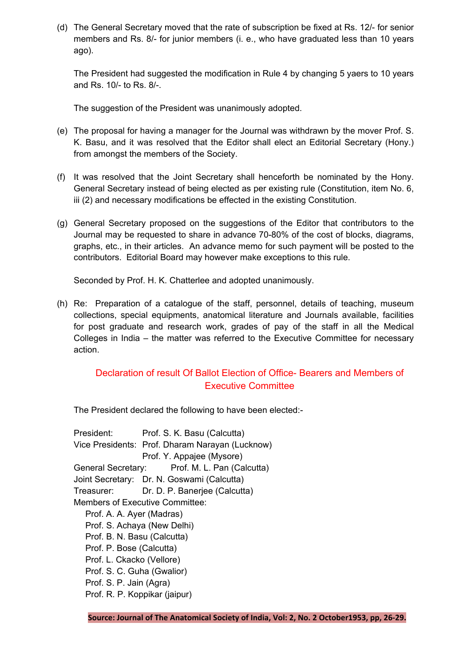(d) The General Secretary moved that the rate of subscription be fixed at Rs. 12/- for senior members and Rs. 8/- for junior members (i. e., who have graduated less than 10 years ago).

The President had suggested the modification in Rule 4 by changing 5 yaers to 10 years and Rs. 10/- to Rs. 8/-.

The suggestion of the President was unanimously adopted.

- (e) The proposal for having a manager for the Journal was withdrawn by the mover Prof. S. K. Basu, and it was resolved that the Editor shall elect an Editorial Secretary (Hony.) from amongst the members of the Society.
- (f) It was resolved that the Joint Secretary shall henceforth be nominated by the Hony. General Secretary instead of being elected as per existing rule (Constitution, item No. 6, iii (2) and necessary modifications be effected in the existing Constitution.
- (g) General Secretary proposed on the suggestions of the Editor that contributors to the Journal may be requested to share in advance 70-80% of the cost of blocks, diagrams, graphs, etc., in their articles. An advance memo for such payment will be posted to the contributors. Editorial Board may however make exceptions to this rule.

Seconded by Prof. H. K. Chatterlee and adopted unanimously.

(h) Re: Preparation of a catalogue of the staff, personnel, details of teaching, museum collections, special equipments, anatomical literature and Journals available, facilities for post graduate and research work, grades of pay of the staff in all the Medical Colleges in India – the matter was referred to the Executive Committee for necessary action.

#### Declaration of result Of Ballot Election of Office- Bearers and Members of Executive Committee

The President declared the following to have been elected:-

President: Prof. S. K. Basu (Calcutta) Vice Presidents: Prof. Dharam Narayan (Lucknow) Prof. Y. Appajee (Mysore) General Secretary: Prof. M. L. Pan (Calcutta) Joint Secretary: Dr. N. Goswami (Calcutta) Treasurer: Dr. D. P. Banerjee (Calcutta) Members of Executive Committee: Prof. A. A. Ayer (Madras) Prof. S. Achaya (New Delhi) Prof. B. N. Basu (Calcutta) Prof. P. Bose (Calcutta) Prof. L. Ckacko (Vellore) Prof. S. C. Guha (Gwalior) Prof. S. P. Jain (Agra) Prof. R. P. Koppikar (jaipur)